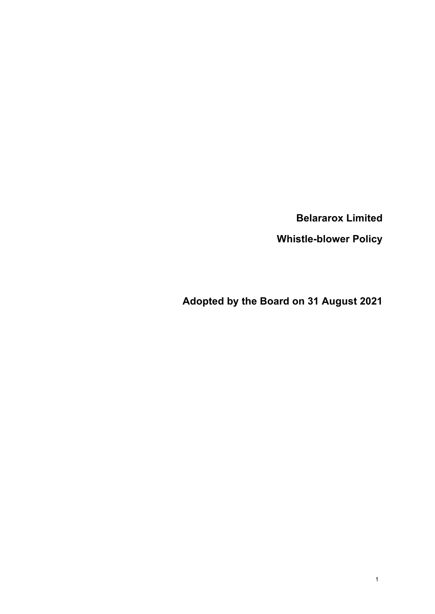**Belararox Limited**

**Whistle-blower Policy**

**Adopted by the Board on 31 August 2021**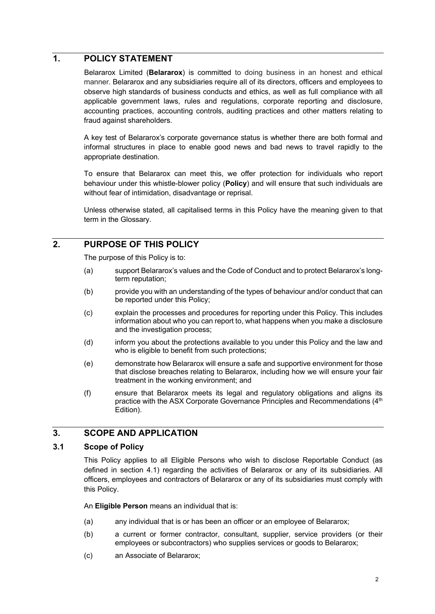## **1. POLICY STATEMENT**

Belararox Limited (**Belararox**) is committed to doing business in an honest and ethical manner. Belararox and any subsidiaries require all of its directors, officers and employees to observe high standards of business conducts and ethics, as well as full compliance with all applicable government laws, rules and regulations, corporate reporting and disclosure, accounting practices, accounting controls, auditing practices and other matters relating to fraud against shareholders.

A key test of Belararox's corporate governance status is whether there are both formal and informal structures in place to enable good news and bad news to travel rapidly to the appropriate destination.

To ensure that Belararox can meet this, we offer protection for individuals who report behaviour under this whistle-blower policy (**Policy**) and will ensure that such individuals are without fear of intimidation, disadvantage or reprisal.

Unless otherwise stated, all capitalised terms in this Policy have the meaning given to that term in the Glossary.

# **2. PURPOSE OF THIS POLICY**

The purpose of this Policy is to:

- (a) support Belararox's values and the Code of Conduct and to protect Belararox's longterm reputation;
- (b) provide you with an understanding of the types of behaviour and/or conduct that can be reported under this Policy;
- (c) explain the processes and procedures for reporting under this Policy. This includes information about who you can report to, what happens when you make a disclosure and the investigation process;
- (d) inform you about the protections available to you under this Policy and the law and who is eligible to benefit from such protections;
- (e) demonstrate how Belararox will ensure a safe and supportive environment for those that disclose breaches relating to Belararox, including how we will ensure your fair treatment in the working environment; and
- (f) ensure that Belararox meets its legal and regulatory obligations and aligns its practice with the ASX Corporate Governance Principles and Recommendations (4<sup>th</sup>) Edition).

### **3. SCOPE AND APPLICATION**

#### **3.1 Scope of Policy**

This Policy applies to all Eligible Persons who wish to disclose Reportable Conduct (as defined in section 4.1) regarding the activities of Belararox or any of its subsidiaries. All officers, employees and contractors of Belararox or any of its subsidiaries must comply with this Policy.

An **Eligible Person** means an individual that is:

- (a) any individual that is or has been an officer or an employee of Belararox;
- (b) a current or former contractor, consultant, supplier, service providers (or their employees or subcontractors) who supplies services or goods to Belararox;
- (c) an Associate of Belararox;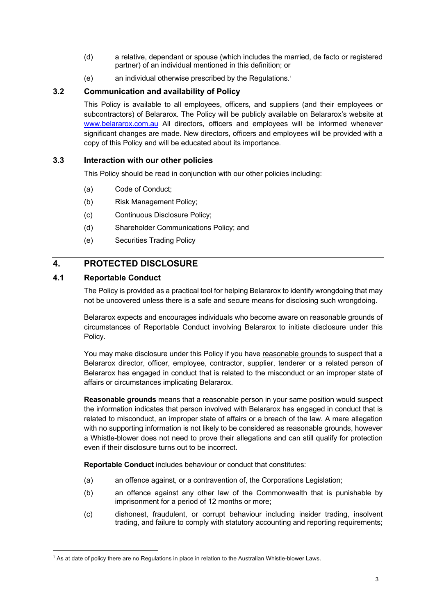- (d) a relative, dependant or spouse (which includes the married, de facto or registered partner) of an individual mentioned in this definition; or
- (e) an individual otherwise prescribed by the Regulations.1

## **3.2 Communication and availability of Policy**

This Policy is available to all employees, officers, and suppliers (and their employees or subcontractors) of Belararox. The Policy will be publicly available on Belararox's website at www.belararox.com.au All directors, officers and employees will be informed whenever significant changes are made. New directors, officers and employees will be provided with a copy of this Policy and will be educated about its importance.

### **3.3 Interaction with our other policies**

This Policy should be read in conjunction with our other policies including:

- (a) Code of Conduct;
- (b) Risk Management Policy;
- (c) Continuous Disclosure Policy;
- (d) Shareholder Communications Policy; and
- (e) Securities Trading Policy

# **4. PROTECTED DISCLOSURE**

## **4.1 Reportable Conduct**

The Policy is provided as a practical tool for helping Belararox to identify wrongdoing that may not be uncovered unless there is a safe and secure means for disclosing such wrongdoing.

Belararox expects and encourages individuals who become aware on reasonable grounds of circumstances of Reportable Conduct involving Belararox to initiate disclosure under this Policy.

You may make disclosure under this Policy if you have reasonable grounds to suspect that a Belararox director, officer, employee, contractor, supplier, tenderer or a related person of Belararox has engaged in conduct that is related to the misconduct or an improper state of affairs or circumstances implicating Belararox.

**Reasonable grounds** means that a reasonable person in your same position would suspect the information indicates that person involved with Belararox has engaged in conduct that is related to misconduct, an improper state of affairs or a breach of the law. A mere allegation with no supporting information is not likely to be considered as reasonable grounds, however a Whistle-blower does not need to prove their allegations and can still qualify for protection even if their disclosure turns out to be incorrect.

**Reportable Conduct** includes behaviour or conduct that constitutes:

- (a) an offence against, or a contravention of, the Corporations Legislation;
- (b) an offence against any other law of the Commonwealth that is punishable by imprisonment for a period of 12 months or more;
- (c) dishonest, fraudulent, or corrupt behaviour including insider trading, insolvent trading, and failure to comply with statutory accounting and reporting requirements;

<sup>1</sup> As at date of policy there are no Regulations in place in relation to the Australian Whistle-blower Laws.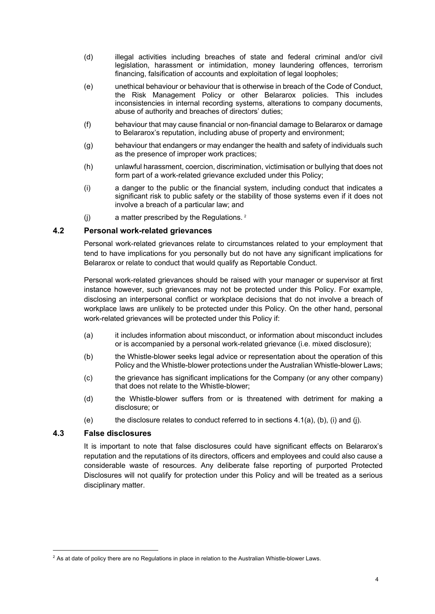- (d) illegal activities including breaches of state and federal criminal and/or civil legislation, harassment or intimidation, money laundering offences, terrorism financing, falsification of accounts and exploitation of legal loopholes;
- (e) unethical behaviour or behaviour that is otherwise in breach of the Code of Conduct, the Risk Management Policy or other Belararox policies. This includes inconsistencies in internal recording systems, alterations to company documents, abuse of authority and breaches of directors' duties;
- (f) behaviour that may cause financial or non-financial damage to Belararox or damage to Belararox's reputation, including abuse of property and environment;
- (g) behaviour that endangers or may endanger the health and safety of individuals such as the presence of improper work practices;
- (h) unlawful harassment, coercion, discrimination, victimisation or bullying that does not form part of a work-related grievance excluded under this Policy;
- (i) a danger to the public or the financial system, including conduct that indicates a significant risk to public safety or the stability of those systems even if it does not involve a breach of a particular law; and
- (j) a matter prescribed by the Regulations. <sup>2</sup>

### **4.2 Personal work-related grievances**

Personal work-related grievances relate to circumstances related to your employment that tend to have implications for you personally but do not have any significant implications for Belararox or relate to conduct that would qualify as Reportable Conduct.

Personal work-related grievances should be raised with your manager or supervisor at first instance however, such grievances may not be protected under this Policy. For example, disclosing an interpersonal conflict or workplace decisions that do not involve a breach of workplace laws are unlikely to be protected under this Policy. On the other hand, personal work-related grievances will be protected under this Policy if:

- (a) it includes information about misconduct, or information about misconduct includes or is accompanied by a personal work-related grievance (i.e. mixed disclosure);
- (b) the Whistle-blower seeks legal advice or representation about the operation of this Policy and the Whistle-blower protections under the Australian Whistle-blower Laws;
- (c) the grievance has significant implications for the Company (or any other company) that does not relate to the Whistle-blower;
- (d) the Whistle-blower suffers from or is threatened with detriment for making a disclosure; or
- (e) the disclosure relates to conduct referred to in sections 4.1(a), (b), (i) and (j).

#### **4.3 False disclosures**

It is important to note that false disclosures could have significant effects on Belararox's reputation and the reputations of its directors, officers and employees and could also cause a considerable waste of resources. Any deliberate false reporting of purported Protected Disclosures will not qualify for protection under this Policy and will be treated as a serious disciplinary matter.

 $<sup>2</sup>$  As at date of policy there are no Regulations in place in relation to the Australian Whistle-blower Laws.</sup>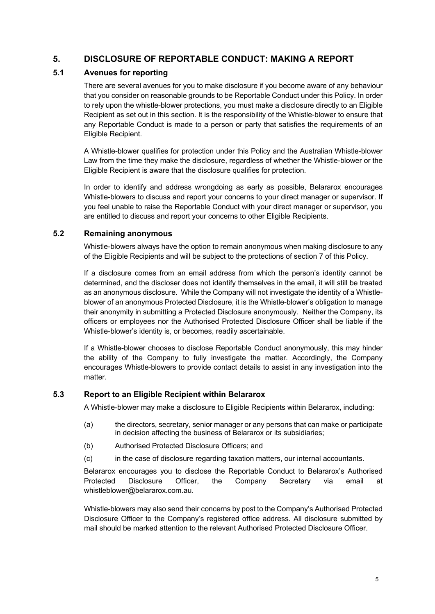# **5. DISCLOSURE OF REPORTABLE CONDUCT: MAKING A REPORT**

### **5.1 Avenues for reporting**

There are several avenues for you to make disclosure if you become aware of any behaviour that you consider on reasonable grounds to be Reportable Conduct under this Policy. In order to rely upon the whistle-blower protections, you must make a disclosure directly to an Eligible Recipient as set out in this section. It is the responsibility of the Whistle-blower to ensure that any Reportable Conduct is made to a person or party that satisfies the requirements of an Eligible Recipient.

A Whistle-blower qualifies for protection under this Policy and the Australian Whistle-blower Law from the time they make the disclosure, regardless of whether the Whistle-blower or the Eligible Recipient is aware that the disclosure qualifies for protection.

In order to identify and address wrongdoing as early as possible, Belararox encourages Whistle-blowers to discuss and report your concerns to your direct manager or supervisor. If you feel unable to raise the Reportable Conduct with your direct manager or supervisor, you are entitled to discuss and report your concerns to other Eligible Recipients.

## **5.2 Remaining anonymous**

Whistle-blowers always have the option to remain anonymous when making disclosure to any of the Eligible Recipients and will be subject to the protections of section 7 of this Policy.

If a disclosure comes from an email address from which the person's identity cannot be determined, and the discloser does not identify themselves in the email, it will still be treated as an anonymous disclosure. While the Company will not investigate the identity of a Whistleblower of an anonymous Protected Disclosure, it is the Whistle-blower's obligation to manage their anonymity in submitting a Protected Disclosure anonymously. Neither the Company, its officers or employees nor the Authorised Protected Disclosure Officer shall be liable if the Whistle-blower's identity is, or becomes, readily ascertainable.

If a Whistle-blower chooses to disclose Reportable Conduct anonymously, this may hinder the ability of the Company to fully investigate the matter. Accordingly, the Company encourages Whistle-blowers to provide contact details to assist in any investigation into the matter.

### **5.3 Report to an Eligible Recipient within Belararox**

A Whistle-blower may make a disclosure to Eligible Recipients within Belararox, including:

- (a) the directors, secretary, senior manager or any persons that can make or participate in decision affecting the business of Belararox or its subsidiaries;
- (b) Authorised Protected Disclosure Officers; and
- (c) in the case of disclosure regarding taxation matters, our internal accountants.

Belararox encourages you to disclose the Reportable Conduct to Belararox's Authorised Protected Disclosure Officer, the Company Secretary via email at whistleblower@belararox.com.au.

Whistle-blowers may also send their concerns by post to the Company's Authorised Protected Disclosure Officer to the Company's registered office address. All disclosure submitted by mail should be marked attention to the relevant Authorised Protected Disclosure Officer.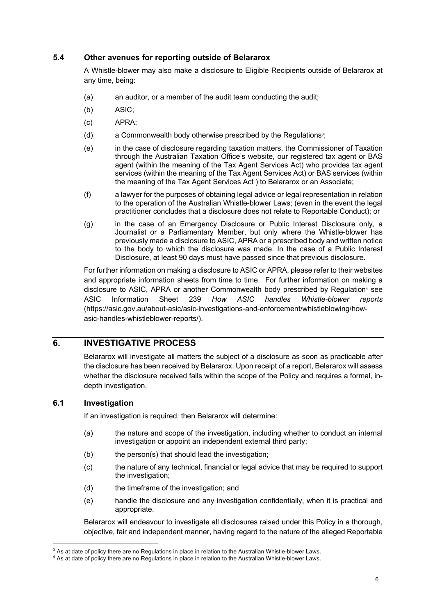#### **5.4 Other avenues for reporting outside of Belararox**

A Whistle-blower may also make a disclosure to Eligible Recipients outside of Belararox at any time, being:

- (a) an auditor, or a member of the audit team conducting the audit;
- (b) ASIC;
- (c) APRA;
- (d) a Commonwealth body otherwise prescribed by the Regulations<sup>3</sup>;
- (e) in the case of disclosure regarding taxation matters, the Commissioner of Taxation through the Australian Taxation Office's website, our registered tax agent or BAS agent (within the meaning of the Tax Agent Services Act) who provides tax agent services (within the meaning of the Tax Agent Services Act) or BAS services (within the meaning of the Tax Agent Services Act ) to Belararox or an Associate;
- (f) a lawyer for the purposes of obtaining legal advice or legal representation in relation to the operation of the Australian Whistle-blower Laws; (even in the event the legal practitioner concludes that a disclosure does not relate to Reportable Conduct); or
- (g) in the case of an Emergency Disclosure or Public Interest Disclosure only, a Journalist or a Parliamentary Member, but only where the Whistle-blower has previously made a disclosure to ASIC, APRA or a prescribed body and written notice to the body to which the disclosure was made. In the case of a Public Interest Disclosure, at least 90 days must have passed since that previous disclosure.

For further information on making a disclosure to ASIC or APRA, please refer to their websites and appropriate information sheets from time to time. For further information on making a disclosure to ASIC, APRA or another Commonwealth body prescribed by Regulation<sup>4</sup> see ASIC Information Sheet 239 *How ASIC handles Whistle-blower reports* (https://asic.gov.au/about-asic/asic-investigations-and-enforcement/whistleblowing/howasic-handles-whistleblower-reports/).

### **6. INVESTIGATIVE PROCESS**

Belararox will investigate all matters the subject of a disclosure as soon as practicable after the disclosure has been received by Belararox. Upon receipt of a report, Belararox will assess whether the disclosure received falls within the scope of the Policy and requires a formal, indepth investigation.

#### **6.1 Investigation**

If an investigation is required, then Belararox will determine:

- (a) the nature and scope of the investigation, including whether to conduct an internal investigation or appoint an independent external third party;
- (b) the person(s) that should lead the investigation;
- (c) the nature of any technical, financial or legal advice that may be required to support the investigation:
- (d) the timeframe of the investigation; and
- (e) handle the disclosure and any investigation confidentially, when it is practical and appropriate.

Belararox will endeavour to investigate all disclosures raised under this Policy in a thorough, objective, fair and independent manner, having regard to the nature of the alleged Reportable

 $3$  As at date of policy there are no Regulations in place in relation to the Australian Whistle-blower Laws.  $4$  As at date of policy there are no Regulations in place in relation to the Australian Whistle-blower Laws.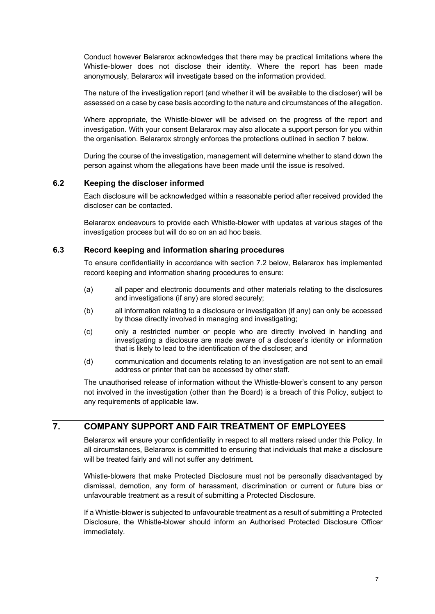Conduct however Belararox acknowledges that there may be practical limitations where the Whistle-blower does not disclose their identity. Where the report has been made anonymously, Belararox will investigate based on the information provided.

The nature of the investigation report (and whether it will be available to the discloser) will be assessed on a case by case basis according to the nature and circumstances of the allegation.

Where appropriate, the Whistle-blower will be advised on the progress of the report and investigation. With your consent Belararox may also allocate a support person for you within the organisation. Belararox strongly enforces the protections outlined in section 7 below.

During the course of the investigation, management will determine whether to stand down the person against whom the allegations have been made until the issue is resolved.

#### **6.2 Keeping the discloser informed**

Each disclosure will be acknowledged within a reasonable period after received provided the discloser can be contacted.

Belararox endeavours to provide each Whistle-blower with updates at various stages of the investigation process but will do so on an ad hoc basis.

#### **6.3 Record keeping and information sharing procedures**

To ensure confidentiality in accordance with section 7.2 below, Belararox has implemented record keeping and information sharing procedures to ensure:

- (a) all paper and electronic documents and other materials relating to the disclosures and investigations (if any) are stored securely;
- (b) all information relating to a disclosure or investigation (if any) can only be accessed by those directly involved in managing and investigating;
- (c) only a restricted number or people who are directly involved in handling and investigating a disclosure are made aware of a discloser's identity or information that is likely to lead to the identification of the discloser; and
- (d) communication and documents relating to an investigation are not sent to an email address or printer that can be accessed by other staff.

The unauthorised release of information without the Whistle-blower's consent to any person not involved in the investigation (other than the Board) is a breach of this Policy, subject to any requirements of applicable law.

# **7. COMPANY SUPPORT AND FAIR TREATMENT OF EMPLOYEES**

Belararox will ensure your confidentiality in respect to all matters raised under this Policy. In all circumstances, Belararox is committed to ensuring that individuals that make a disclosure will be treated fairly and will not suffer any detriment.

Whistle-blowers that make Protected Disclosure must not be personally disadvantaged by dismissal, demotion, any form of harassment, discrimination or current or future bias or unfavourable treatment as a result of submitting a Protected Disclosure.

If a Whistle-blower is subjected to unfavourable treatment as a result of submitting a Protected Disclosure, the Whistle-blower should inform an Authorised Protected Disclosure Officer immediately.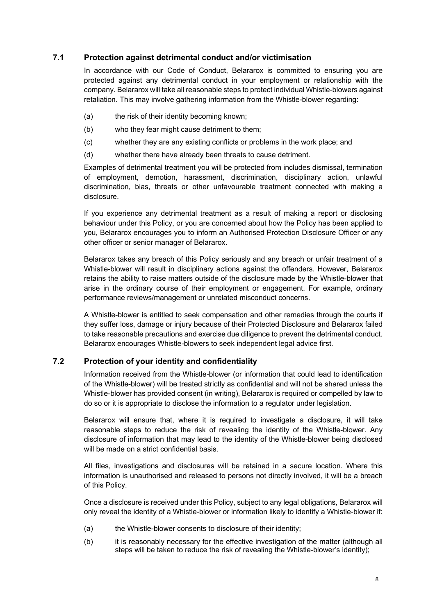## **7.1 Protection against detrimental conduct and/or victimisation**

In accordance with our Code of Conduct, Belararox is committed to ensuring you are protected against any detrimental conduct in your employment or relationship with the company. Belararox will take all reasonable steps to protect individual Whistle-blowers against retaliation. This may involve gathering information from the Whistle-blower regarding:

- (a) the risk of their identity becoming known;
- (b) who they fear might cause detriment to them;
- (c) whether they are any existing conflicts or problems in the work place; and
- (d) whether there have already been threats to cause detriment.

Examples of detrimental treatment you will be protected from includes dismissal, termination of employment, demotion, harassment, discrimination, disciplinary action, unlawful discrimination, bias, threats or other unfavourable treatment connected with making a disclosure.

If you experience any detrimental treatment as a result of making a report or disclosing behaviour under this Policy, or you are concerned about how the Policy has been applied to you, Belararox encourages you to inform an Authorised Protection Disclosure Officer or any other officer or senior manager of Belararox.

Belararox takes any breach of this Policy seriously and any breach or unfair treatment of a Whistle-blower will result in disciplinary actions against the offenders. However, Belararox retains the ability to raise matters outside of the disclosure made by the Whistle-blower that arise in the ordinary course of their employment or engagement. For example, ordinary performance reviews/management or unrelated misconduct concerns.

A Whistle-blower is entitled to seek compensation and other remedies through the courts if they suffer loss, damage or injury because of their Protected Disclosure and Belararox failed to take reasonable precautions and exercise due diligence to prevent the detrimental conduct. Belararox encourages Whistle-blowers to seek independent legal advice first.

#### **7.2 Protection of your identity and confidentiality**

Information received from the Whistle-blower (or information that could lead to identification of the Whistle-blower) will be treated strictly as confidential and will not be shared unless the Whistle-blower has provided consent (in writing), Belararox is required or compelled by law to do so or it is appropriate to disclose the information to a regulator under legislation.

Belararox will ensure that, where it is required to investigate a disclosure, it will take reasonable steps to reduce the risk of revealing the identity of the Whistle-blower. Any disclosure of information that may lead to the identity of the Whistle-blower being disclosed will be made on a strict confidential basis.

All files, investigations and disclosures will be retained in a secure location. Where this information is unauthorised and released to persons not directly involved, it will be a breach of this Policy.

Once a disclosure is received under this Policy, subject to any legal obligations, Belararox will only reveal the identity of a Whistle-blower or information likely to identify a Whistle-blower if:

- (a) the Whistle-blower consents to disclosure of their identity;
- (b) it is reasonably necessary for the effective investigation of the matter (although all steps will be taken to reduce the risk of revealing the Whistle-blower's identity);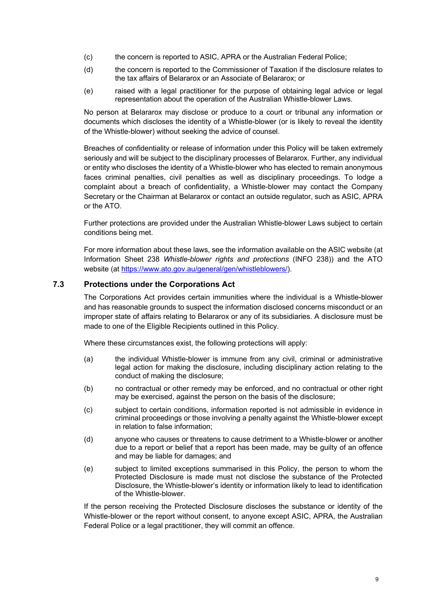- (c) the concern is reported to ASIC, APRA or the Australian Federal Police;
- (d) the concern is reported to the Commissioner of Taxation if the disclosure relates to the tax affairs of Belararox or an Associate of Belararox; or
- (e) raised with a legal practitioner for the purpose of obtaining legal advice or legal representation about the operation of the Australian Whistle-blower Laws.

No person at Belararox may disclose or produce to a court or tribunal any information or documents which discloses the identity of a Whistle-blower (or is likely to reveal the identity of the Whistle-blower) without seeking the advice of counsel.

Breaches of confidentiality or release of information under this Policy will be taken extremely seriously and will be subject to the disciplinary processes of Belararox. Further, any individual or entity who discloses the identity of a Whistle-blower who has elected to remain anonymous faces criminal penalties, civil penalties as well as disciplinary proceedings. To lodge a complaint about a breach of confidentiality, a Whistle-blower may contact the Company Secretary or the Chairman at Belararox or contact an outside regulator, such as ASIC, APRA or the ATO.

Further protections are provided under the Australian Whistle-blower Laws subject to certain conditions being met.

For more information about these laws, see the information available on the ASIC website (at Information Sheet 238 *Whistle-blower rights and protections* (INFO 238)) and the ATO website (at https://www.ato.gov.au/general/gen/whistleblowers/).

#### **7.3 Protections under the Corporations Act**

The Corporations Act provides certain immunities where the individual is a Whistle-blower and has reasonable grounds to suspect the information disclosed concerns misconduct or an improper state of affairs relating to Belararox or any of its subsidiaries. A disclosure must be made to one of the Eligible Recipients outlined in this Policy.

Where these circumstances exist, the following protections will apply:

- (a) the individual Whistle-blower is immune from any civil, criminal or administrative legal action for making the disclosure, including disciplinary action relating to the conduct of making the disclosure;
- (b) no contractual or other remedy may be enforced, and no contractual or other right may be exercised, against the person on the basis of the disclosure;
- (c) subject to certain conditions, information reported is not admissible in evidence in criminal proceedings or those involving a penalty against the Whistle-blower except in relation to false information;
- (d) anyone who causes or threatens to cause detriment to a Whistle-blower or another due to a report or belief that a report has been made, may be guilty of an offence and may be liable for damages; and
- (e) subject to limited exceptions summarised in this Policy, the person to whom the Protected Disclosure is made must not disclose the substance of the Protected Disclosure, the Whistle-blower's identity or information likely to lead to identification of the Whistle-blower.

If the person receiving the Protected Disclosure discloses the substance or identity of the Whistle-blower or the report without consent, to anyone except ASIC, APRA, the Australian Federal Police or a legal practitioner, they will commit an offence.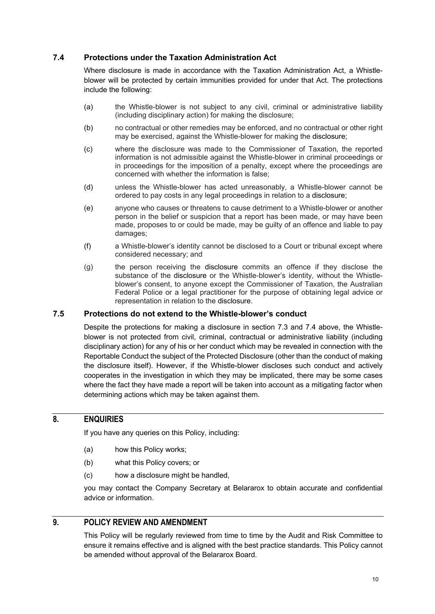### **7.4 Protections under the Taxation Administration Act**

Where disclosure is made in accordance with the Taxation Administration Act, a Whistleblower will be protected by certain immunities provided for under that Act. The protections include the following:

- (a) the Whistle-blower is not subject to any civil, criminal or administrative liability (including disciplinary action) for making the disclosure;
- (b) no contractual or other remedies may be enforced, and no contractual or other right may be exercised, against the Whistle-blower for making the disclosure;
- (c) where the disclosure was made to the Commissioner of Taxation, the reported information is not admissible against the Whistle-blower in criminal proceedings or in proceedings for the imposition of a penalty, except where the proceedings are concerned with whether the information is false;
- (d) unless the Whistle-blower has acted unreasonably, a Whistle-blower cannot be ordered to pay costs in any legal proceedings in relation to a disclosure;
- (e) anyone who causes or threatens to cause detriment to a Whistle-blower or another person in the belief or suspicion that a report has been made, or may have been made, proposes to or could be made, may be guilty of an offence and liable to pay damages;
- (f) a Whistle-blower's identity cannot be disclosed to a Court or tribunal except where considered necessary; and
- (g) the person receiving the disclosure commits an offence if they disclose the substance of the disclosure or the Whistle-blower's identity, without the Whistleblower's consent, to anyone except the Commissioner of Taxation, the Australian Federal Police or a legal practitioner for the purpose of obtaining legal advice or representation in relation to the disclosure.

#### **7.5 Protections do not extend to the Whistle-blower's conduct**

Despite the protections for making a disclosure in section 7.3 and 7.4 above, the Whistleblower is not protected from civil, criminal, contractual or administrative liability (including disciplinary action) for any of his or her conduct which may be revealed in connection with the Reportable Conduct the subject of the Protected Disclosure (other than the conduct of making the disclosure itself). However, if the Whistle-blower discloses such conduct and actively cooperates in the investigation in which they may be implicated, there may be some cases where the fact they have made a report will be taken into account as a mitigating factor when determining actions which may be taken against them.

### **8. ENQUIRIES**

If you have any queries on this Policy, including:

- (a) how this Policy works;
- (b) what this Policy covers; or
- (c) how a disclosure might be handled,

you may contact the Company Secretary at Belararox to obtain accurate and confidential advice or information.

# **9. POLICY REVIEW AND AMENDMENT**

This Policy will be regularly reviewed from time to time by the Audit and Risk Committee to ensure it remains effective and is aligned with the best practice standards. This Policy cannot be amended without approval of the Belararox Board.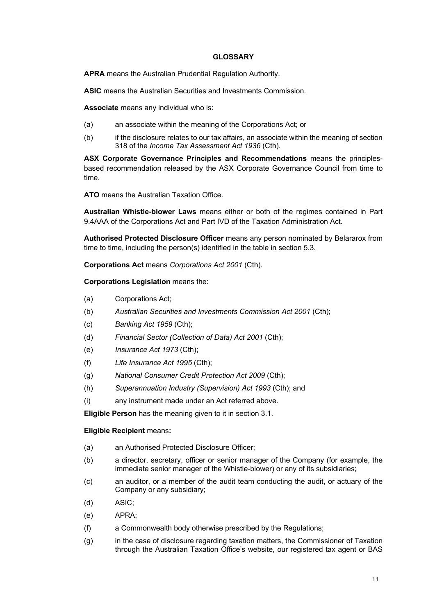#### **GLOSSARY**

**APRA** means the Australian Prudential Regulation Authority.

**ASIC** means the Australian Securities and Investments Commission.

**Associate** means any individual who is:

- (a) an associate within the meaning of the Corporations Act; or
- (b) if the disclosure relates to our tax affairs, an associate within the meaning of section 318 of the *Income Tax Assessment Act 1936* (Cth).

**ASX Corporate Governance Principles and Recommendations** means the principlesbased recommendation released by the ASX Corporate Governance Council from time to time.

**ATO** means the Australian Taxation Office.

**Australian Whistle-blower Laws** means either or both of the regimes contained in Part 9.4AAA of the Corporations Act and Part IVD of the Taxation Administration Act.

**Authorised Protected Disclosure Officer** means any person nominated by Belararox from time to time, including the person(s) identified in the table in section 5.3.

**Corporations Act** means *Corporations Act 2001* (Cth).

**Corporations Legislation** means the:

- (a) Corporations Act;
- (b) *Australian Securities and Investments Commission Act 2001* (Cth);
- (c) *Banking Act 1959* (Cth);
- (d) *Financial Sector (Collection of Data) Act 2001* (Cth);
- (e) *Insurance Act 1973* (Cth);
- (f) *Life Insurance Act 1995* (Cth);
- (g) *National Consumer Credit Protection Act 2009* (Cth);
- (h) *Superannuation Industry (Supervision) Act 1993* (Cth); and
- (i) any instrument made under an Act referred above.

**Eligible Person** has the meaning given to it in section 3.1.

#### **Eligible Recipient** means**:**

- (a) an Authorised Protected Disclosure Officer;
- (b) a director, secretary, officer or senior manager of the Company (for example, the immediate senior manager of the Whistle-blower) or any of its subsidiaries;
- (c) an auditor, or a member of the audit team conducting the audit, or actuary of the Company or any subsidiary;
- (d) ASIC;
- (e) APRA;
- (f) a Commonwealth body otherwise prescribed by the Regulations;
- (g) in the case of disclosure regarding taxation matters, the Commissioner of Taxation through the Australian Taxation Office's website, our registered tax agent or BAS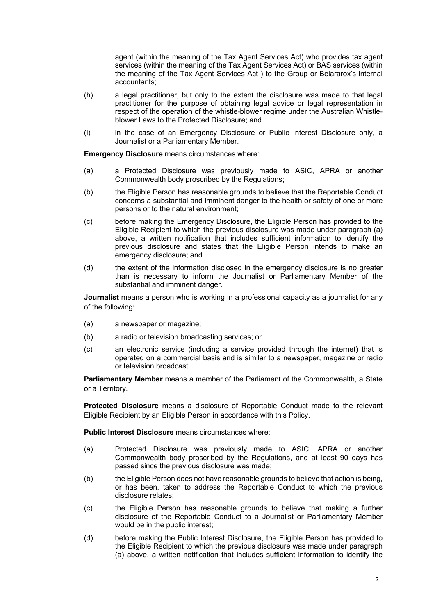agent (within the meaning of the Tax Agent Services Act) who provides tax agent services (within the meaning of the Tax Agent Services Act) or BAS services (within the meaning of the Tax Agent Services Act ) to the Group or Belararox's internal accountants;

- (h) a legal practitioner, but only to the extent the disclosure was made to that legal practitioner for the purpose of obtaining legal advice or legal representation in respect of the operation of the whistle-blower regime under the Australian Whistleblower Laws to the Protected Disclosure; and
- (i) in the case of an Emergency Disclosure or Public Interest Disclosure only, a Journalist or a Parliamentary Member.

**Emergency Disclosure** means circumstances where:

- (a) a Protected Disclosure was previously made to ASIC, APRA or another Commonwealth body proscribed by the Regulations;
- (b) the Eligible Person has reasonable grounds to believe that the Reportable Conduct concerns a substantial and imminent danger to the health or safety of one or more persons or to the natural environment;
- (c) before making the Emergency Disclosure, the Eligible Person has provided to the Eligible Recipient to which the previous disclosure was made under paragraph (a) above, a written notification that includes sufficient information to identify the previous disclosure and states that the Eligible Person intends to make an emergency disclosure; and
- (d) the extent of the information disclosed in the emergency disclosure is no greater than is necessary to inform the Journalist or Parliamentary Member of the substantial and imminent danger.

**Journalist** means a person who is working in a professional capacity as a journalist for any of the following:

- (a) a newspaper or magazine;
- (b) a radio or television broadcasting services; or
- (c) an electronic service (including a service provided through the internet) that is operated on a commercial basis and is similar to a newspaper, magazine or radio or television broadcast.

**Parliamentary Member** means a member of the Parliament of the Commonwealth, a State or a Territory.

**Protected Disclosure** means a disclosure of Reportable Conduct made to the relevant Eligible Recipient by an Eligible Person in accordance with this Policy.

**Public Interest Disclosure** means circumstances where:

- (a) Protected Disclosure was previously made to ASIC, APRA or another Commonwealth body proscribed by the Regulations, and at least 90 days has passed since the previous disclosure was made;
- (b) the Eligible Person does not have reasonable grounds to believe that action is being, or has been, taken to address the Reportable Conduct to which the previous disclosure relates;
- (c) the Eligible Person has reasonable grounds to believe that making a further disclosure of the Reportable Conduct to a Journalist or Parliamentary Member would be in the public interest;
- (d) before making the Public Interest Disclosure, the Eligible Person has provided to the Eligible Recipient to which the previous disclosure was made under paragraph (a) above, a written notification that includes sufficient information to identify the